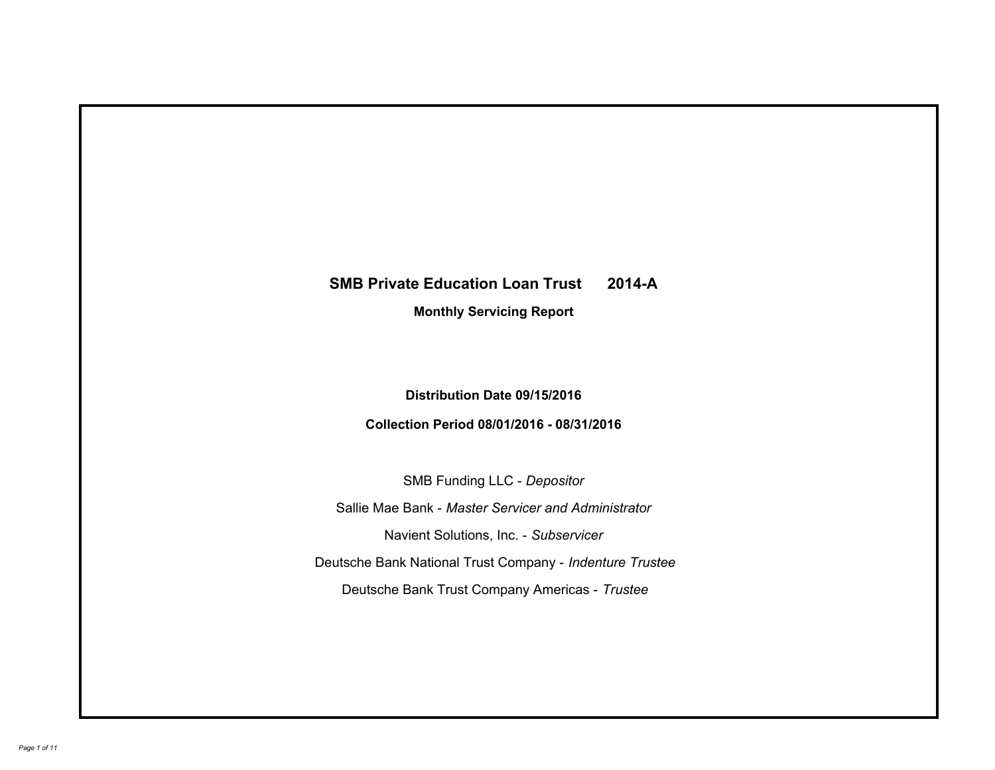# **SMB Private Education Loan Trust 2014-A Monthly Servicing Report**

# **Distribution Date 09/15/2016**

# **Collection Period 08/01/2016 - 08/31/2016**

SMB Funding LLC - *Depositor*

Sallie Mae Bank - *Master Servicer and Administrator*

Navient Solutions, Inc. - *Subservicer*

Deutsche Bank National Trust Company - *Indenture Trustee*

Deutsche Bank Trust Company Americas - *Trustee*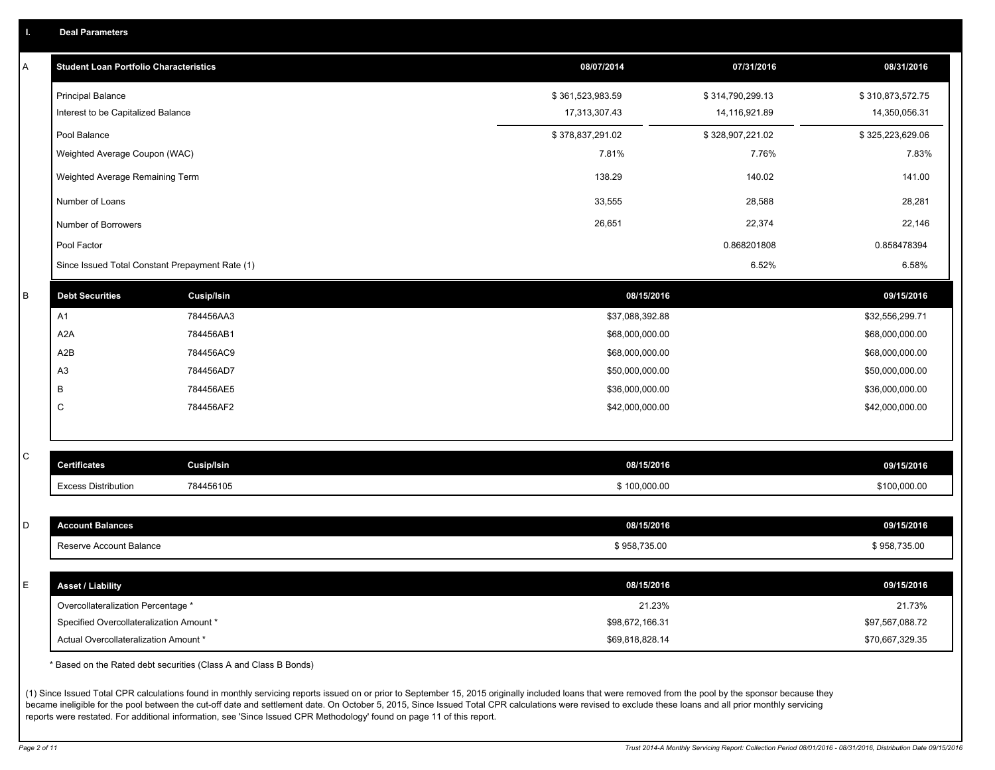|  |  |  | <b>Deal Parameters</b> |  |
|--|--|--|------------------------|--|
|--|--|--|------------------------|--|

| Α           | <b>Student Loan Portfolio Characteristics</b>   |                   | 08/07/2014       | 07/31/2016       | 08/31/2016       |
|-------------|-------------------------------------------------|-------------------|------------------|------------------|------------------|
|             | <b>Principal Balance</b>                        |                   | \$361,523,983.59 | \$314,790,299.13 | \$310,873,572.75 |
|             | Interest to be Capitalized Balance              |                   | 17,313,307.43    | 14,116,921.89    | 14,350,056.31    |
|             | Pool Balance                                    |                   | \$378,837,291.02 | \$328,907,221.02 | \$325,223,629.06 |
|             | Weighted Average Coupon (WAC)                   |                   | 7.81%            | 7.76%            | 7.83%            |
|             | Weighted Average Remaining Term                 |                   | 138.29           | 140.02           | 141.00           |
|             | Number of Loans                                 |                   | 33,555           | 28,588           | 28,281           |
|             | Number of Borrowers                             |                   | 26,651           | 22,374           | 22,146           |
|             | Pool Factor                                     |                   |                  | 0.868201808      | 0.858478394      |
|             | Since Issued Total Constant Prepayment Rate (1) |                   |                  | 6.52%            | 6.58%            |
| В           | <b>Debt Securities</b>                          | <b>Cusip/Isin</b> | 08/15/2016       |                  | 09/15/2016       |
|             | A1                                              | 784456AA3         | \$37,088,392.88  |                  | \$32,556,299.71  |
|             | A <sub>2</sub> A                                | 784456AB1         | \$68,000,000.00  |                  | \$68,000,000.00  |
|             | A <sub>2</sub> B                                | 784456AC9         | \$68,000,000.00  |                  | \$68,000,000.00  |
|             | A <sub>3</sub>                                  | 784456AD7         | \$50,000,000.00  |                  | \$50,000,000.00  |
|             | B                                               | 784456AE5         | \$36,000,000.00  |                  | \$36,000,000.00  |
|             | C                                               | 784456AF2         | \$42,000,000.00  |                  | \$42,000,000.00  |
|             |                                                 |                   |                  |                  |                  |
| C           | <b>Certificates</b>                             | Cusip/Isin        | 08/15/2016       |                  | 09/15/2016       |
|             | <b>Excess Distribution</b>                      | 784456105         | \$100,000.00     |                  | \$100,000.00     |
|             |                                                 |                   |                  |                  |                  |
| D           | <b>Account Balances</b>                         |                   | 08/15/2016       |                  | 09/15/2016       |
|             | Reserve Account Balance                         |                   | \$958,735.00     |                  | \$958,735.00     |
|             |                                                 |                   |                  |                  |                  |
| $\mathsf E$ | <b>Asset / Liability</b>                        |                   | 08/15/2016       |                  | 09/15/2016       |
|             | Overcollateralization Percentage *              |                   | 21.23%           |                  | 21.73%           |
|             | Specified Overcollateralization Amount *        |                   | \$98,672,166.31  |                  | \$97,567,088.72  |
|             | Actual Overcollateralization Amount *           |                   | \$69,818,828.14  |                  | \$70,667,329.35  |

\* Based on the Rated debt securities (Class A and Class B Bonds)

(1) Since Issued Total CPR calculations found in monthly servicing reports issued on or prior to September 15, 2015 originally included loans that were removed from the pool by the sponsor because they became ineligible for the pool between the cut-off date and settlement date. On October 5, 2015, Since Issued Total CPR calculations were revised to exclude these loans and all prior monthly servicing reports were restated. For additional information, see 'Since Issued CPR Methodology' found on page 11 of this report.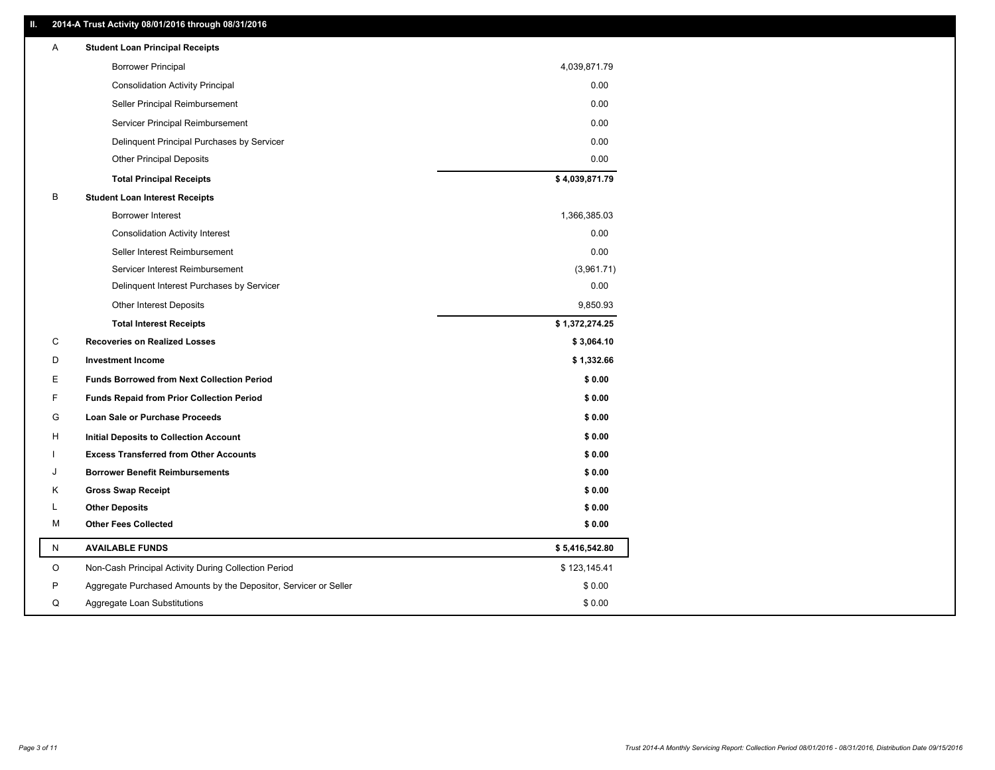### **II. 2014-A Trust Activity 08/01/2016 through 08/31/2016**

| Α | <b>Student Loan Principal Receipts</b>                           |                |
|---|------------------------------------------------------------------|----------------|
|   | <b>Borrower Principal</b>                                        | 4,039,871.79   |
|   | <b>Consolidation Activity Principal</b>                          | 0.00           |
|   | Seller Principal Reimbursement                                   | 0.00           |
|   | Servicer Principal Reimbursement                                 | 0.00           |
|   | Delinquent Principal Purchases by Servicer                       | 0.00           |
|   | <b>Other Principal Deposits</b>                                  | 0.00           |
|   | <b>Total Principal Receipts</b>                                  | \$4,039,871.79 |
| В | <b>Student Loan Interest Receipts</b>                            |                |
|   | Borrower Interest                                                | 1,366,385.03   |
|   | <b>Consolidation Activity Interest</b>                           | 0.00           |
|   | Seller Interest Reimbursement                                    | 0.00           |
|   | Servicer Interest Reimbursement                                  | (3,961.71)     |
|   | Delinquent Interest Purchases by Servicer                        | 0.00           |
|   | <b>Other Interest Deposits</b>                                   | 9,850.93       |
|   | <b>Total Interest Receipts</b>                                   | \$1,372,274.25 |
| C | <b>Recoveries on Realized Losses</b>                             | \$3,064.10     |
| D | <b>Investment Income</b>                                         | \$1,332.66     |
| Е | <b>Funds Borrowed from Next Collection Period</b>                | \$0.00         |
| F | <b>Funds Repaid from Prior Collection Period</b>                 | \$0.00         |
| G | Loan Sale or Purchase Proceeds                                   | \$0.00         |
| н | <b>Initial Deposits to Collection Account</b>                    | \$0.00         |
|   | <b>Excess Transferred from Other Accounts</b>                    | \$0.00         |
| J | <b>Borrower Benefit Reimbursements</b>                           | \$0.00         |
| Κ | <b>Gross Swap Receipt</b>                                        | \$0.00         |
| L | <b>Other Deposits</b>                                            | \$0.00         |
| М | <b>Other Fees Collected</b>                                      | \$0.00         |
| N | <b>AVAILABLE FUNDS</b>                                           | \$5,416,542.80 |
| O | Non-Cash Principal Activity During Collection Period             | \$123,145.41   |
| P | Aggregate Purchased Amounts by the Depositor, Servicer or Seller | \$0.00         |
| Q | Aggregate Loan Substitutions                                     | \$0.00         |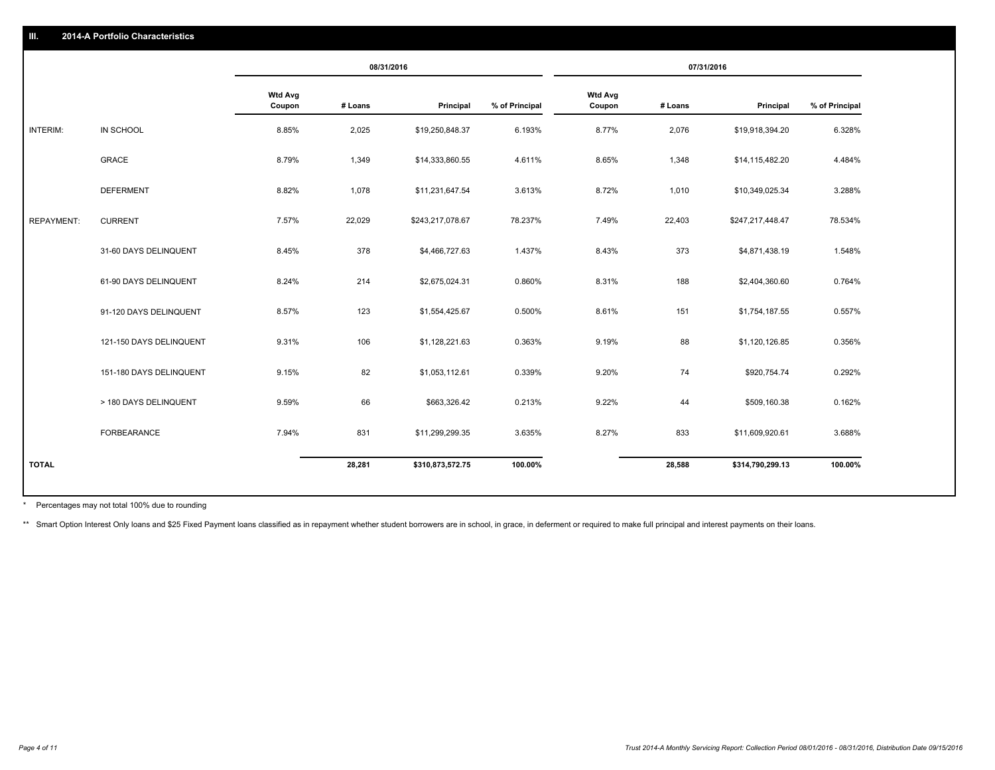|                   |                         | 08/31/2016               |         |                  | 07/31/2016     |                          |         |                  |                |
|-------------------|-------------------------|--------------------------|---------|------------------|----------------|--------------------------|---------|------------------|----------------|
|                   |                         | <b>Wtd Avg</b><br>Coupon | # Loans | Principal        | % of Principal | <b>Wtd Avg</b><br>Coupon | # Loans | Principal        | % of Principal |
| INTERIM:          | IN SCHOOL               | 8.85%                    | 2,025   | \$19,250,848.37  | 6.193%         | 8.77%                    | 2,076   | \$19,918,394.20  | 6.328%         |
|                   | GRACE                   | 8.79%                    | 1,349   | \$14,333,860.55  | 4.611%         | 8.65%                    | 1,348   | \$14,115,482.20  | 4.484%         |
|                   | <b>DEFERMENT</b>        | 8.82%                    | 1,078   | \$11,231,647.54  | 3.613%         | 8.72%                    | 1,010   | \$10,349,025.34  | 3.288%         |
| <b>REPAYMENT:</b> | <b>CURRENT</b>          | 7.57%                    | 22,029  | \$243,217,078.67 | 78.237%        | 7.49%                    | 22,403  | \$247,217,448.47 | 78.534%        |
|                   | 31-60 DAYS DELINQUENT   | 8.45%                    | 378     | \$4,466,727.63   | 1.437%         | 8.43%                    | 373     | \$4,871,438.19   | 1.548%         |
|                   | 61-90 DAYS DELINQUENT   | 8.24%                    | 214     | \$2,675,024.31   | 0.860%         | 8.31%                    | 188     | \$2,404,360.60   | 0.764%         |
|                   | 91-120 DAYS DELINQUENT  | 8.57%                    | 123     | \$1,554,425.67   | 0.500%         | 8.61%                    | 151     | \$1,754,187.55   | 0.557%         |
|                   | 121-150 DAYS DELINQUENT | 9.31%                    | 106     | \$1,128,221.63   | 0.363%         | 9.19%                    | 88      | \$1,120,126.85   | 0.356%         |
|                   | 151-180 DAYS DELINQUENT | 9.15%                    | 82      | \$1,053,112.61   | 0.339%         | 9.20%                    | 74      | \$920,754.74     | 0.292%         |
|                   | > 180 DAYS DELINQUENT   | 9.59%                    | 66      | \$663,326.42     | 0.213%         | 9.22%                    | 44      | \$509,160.38     | 0.162%         |
|                   | FORBEARANCE             | 7.94%                    | 831     | \$11,299,299.35  | 3.635%         | 8.27%                    | 833     | \$11,609,920.61  | 3.688%         |
| <b>TOTAL</b>      |                         |                          | 28,281  | \$310,873,572.75 | 100.00%        |                          | 28,588  | \$314,790,299.13 | 100.00%        |

Percentages may not total 100% due to rounding \*

\*\* Smart Option Interest Only loans and \$25 Fixed Payment loans classified as in repayment whether student borrowers are in school, in grace, in deferment or required to make full principal and interest payments on their l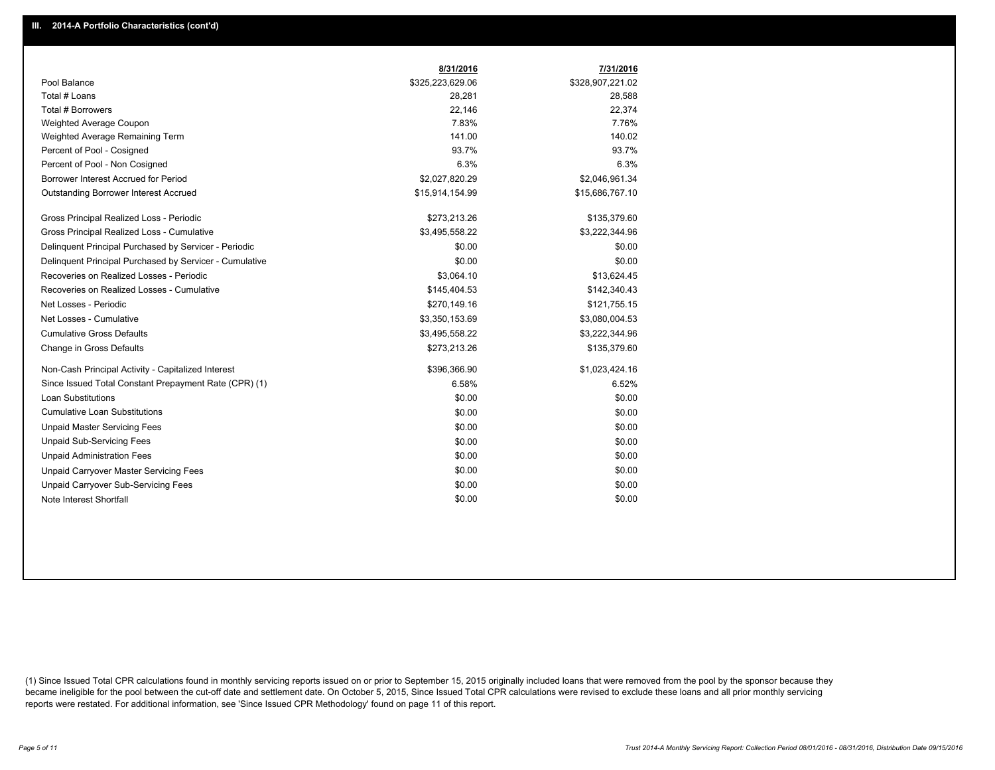|                                                         | 8/31/2016        | 7/31/2016        |
|---------------------------------------------------------|------------------|------------------|
| Pool Balance                                            | \$325,223,629.06 | \$328,907,221.02 |
| Total # Loans                                           | 28,281           | 28,588           |
| Total # Borrowers                                       | 22,146           | 22,374           |
| Weighted Average Coupon                                 | 7.83%            | 7.76%            |
| Weighted Average Remaining Term                         | 141.00           | 140.02           |
| Percent of Pool - Cosigned                              | 93.7%            | 93.7%            |
| Percent of Pool - Non Cosigned                          | 6.3%             | 6.3%             |
| Borrower Interest Accrued for Period                    | \$2,027,820.29   | \$2,046,961.34   |
| Outstanding Borrower Interest Accrued                   | \$15,914,154.99  | \$15,686,767.10  |
| Gross Principal Realized Loss - Periodic                | \$273,213.26     | \$135,379.60     |
| Gross Principal Realized Loss - Cumulative              | \$3,495,558.22   | \$3,222,344.96   |
| Delinquent Principal Purchased by Servicer - Periodic   | \$0.00           | \$0.00           |
| Delinguent Principal Purchased by Servicer - Cumulative | \$0.00           | \$0.00           |
| Recoveries on Realized Losses - Periodic                | \$3.064.10       | \$13,624.45      |
| Recoveries on Realized Losses - Cumulative              | \$145,404.53     | \$142,340.43     |
| Net Losses - Periodic                                   | \$270,149.16     | \$121,755.15     |
| Net Losses - Cumulative                                 | \$3,350,153.69   | \$3,080,004.53   |
| <b>Cumulative Gross Defaults</b>                        | \$3,495,558.22   | \$3,222,344.96   |
| Change in Gross Defaults                                | \$273,213.26     | \$135,379.60     |
| Non-Cash Principal Activity - Capitalized Interest      | \$396,366.90     | \$1,023,424.16   |
| Since Issued Total Constant Prepayment Rate (CPR) (1)   | 6.58%            | 6.52%            |
| <b>Loan Substitutions</b>                               | \$0.00           | \$0.00           |
| <b>Cumulative Loan Substitutions</b>                    | \$0.00           | \$0.00           |
| <b>Unpaid Master Servicing Fees</b>                     | \$0.00           | \$0.00           |
| <b>Unpaid Sub-Servicing Fees</b>                        | \$0.00           | \$0.00           |
| <b>Unpaid Administration Fees</b>                       | \$0.00           | \$0.00           |
| Unpaid Carryover Master Servicing Fees                  | \$0.00           | \$0.00           |
| Unpaid Carryover Sub-Servicing Fees                     | \$0.00           | \$0.00           |
| Note Interest Shortfall                                 | \$0.00           | \$0.00           |

(1) Since Issued Total CPR calculations found in monthly servicing reports issued on or prior to September 15, 2015 originally included loans that were removed from the pool by the sponsor because they became ineligible for the pool between the cut-off date and settlement date. On October 5, 2015, Since Issued Total CPR calculations were revised to exclude these loans and all prior monthly servicing reports were restated. For additional information, see 'Since Issued CPR Methodology' found on page 11 of this report.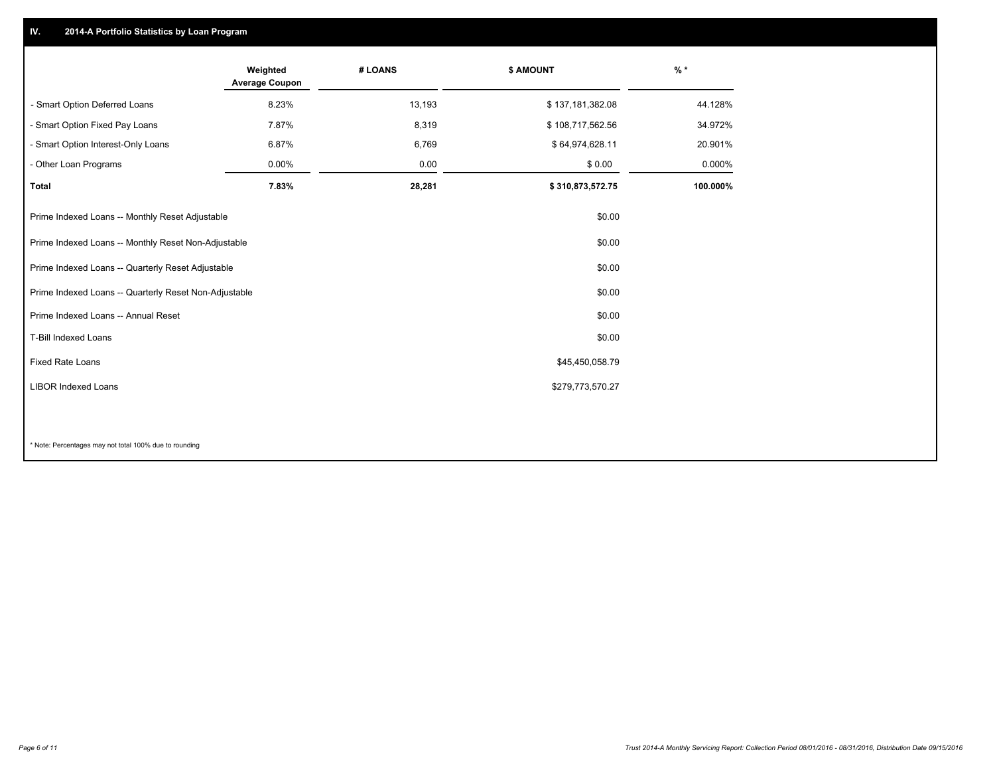## **IV. 2014-A Portfolio Statistics by Loan Program**

|                                                       | Weighted<br><b>Average Coupon</b> | # LOANS | <b>\$ AMOUNT</b> | $%$ *    |
|-------------------------------------------------------|-----------------------------------|---------|------------------|----------|
| - Smart Option Deferred Loans                         | 8.23%                             | 13,193  | \$137,181,382.08 | 44.128%  |
| - Smart Option Fixed Pay Loans                        | 7.87%                             | 8,319   | \$108,717,562.56 | 34.972%  |
| - Smart Option Interest-Only Loans                    | 6.87%                             | 6,769   | \$64,974,628.11  | 20.901%  |
| - Other Loan Programs                                 | $0.00\%$                          | 0.00    | \$0.00           | 0.000%   |
| <b>Total</b>                                          | 7.83%                             | 28,281  | \$310,873,572.75 | 100.000% |
| Prime Indexed Loans -- Monthly Reset Adjustable       |                                   |         | \$0.00           |          |
| Prime Indexed Loans -- Monthly Reset Non-Adjustable   |                                   |         | \$0.00           |          |
| Prime Indexed Loans -- Quarterly Reset Adjustable     |                                   |         | \$0.00           |          |
| Prime Indexed Loans -- Quarterly Reset Non-Adjustable |                                   |         | \$0.00           |          |
| Prime Indexed Loans -- Annual Reset                   |                                   |         | \$0.00           |          |
| T-Bill Indexed Loans                                  |                                   |         | \$0.00           |          |
| <b>Fixed Rate Loans</b>                               |                                   |         | \$45,450,058.79  |          |
| <b>LIBOR Indexed Loans</b>                            |                                   |         | \$279,773,570.27 |          |
|                                                       |                                   |         |                  |          |

\* Note: Percentages may not total 100% due to rounding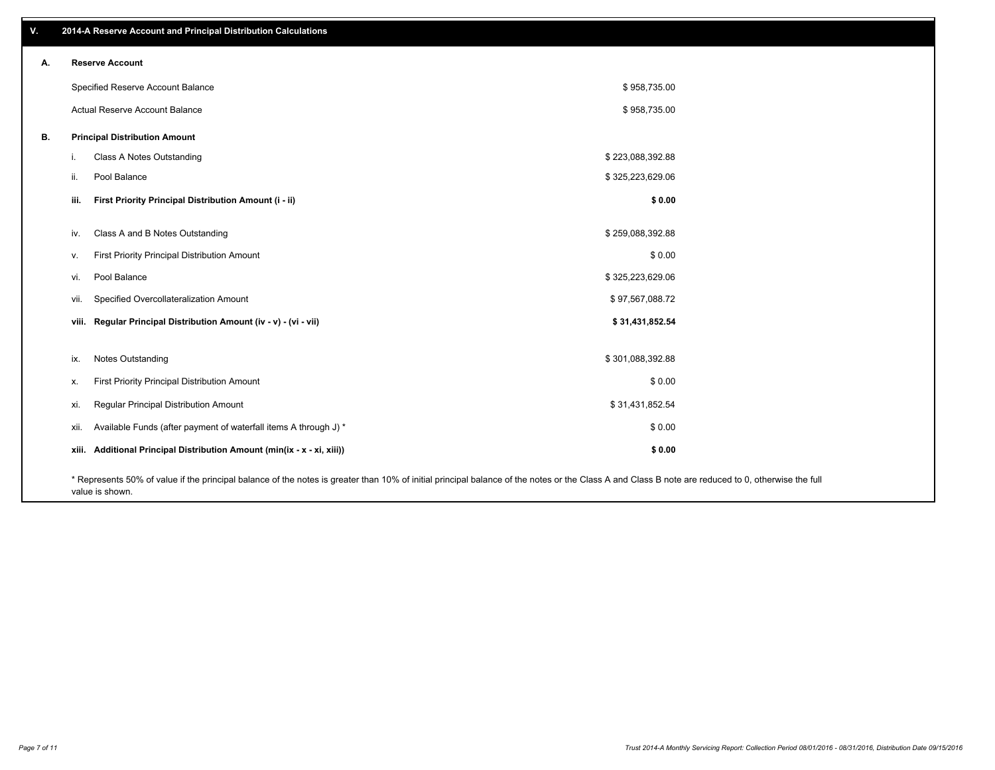| V. | 2014-A Reserve Account and Principal Distribution Calculations                                                                                                                                     |                  |  |
|----|----------------------------------------------------------------------------------------------------------------------------------------------------------------------------------------------------|------------------|--|
| А. | <b>Reserve Account</b>                                                                                                                                                                             |                  |  |
|    | Specified Reserve Account Balance                                                                                                                                                                  | \$958,735.00     |  |
|    | Actual Reserve Account Balance                                                                                                                                                                     | \$958,735.00     |  |
| В. | <b>Principal Distribution Amount</b>                                                                                                                                                               |                  |  |
|    | Class A Notes Outstanding<br>i.                                                                                                                                                                    | \$223,088,392.88 |  |
|    | Pool Balance<br>ii.                                                                                                                                                                                | \$325,223,629.06 |  |
|    | First Priority Principal Distribution Amount (i - ii)<br>iii.                                                                                                                                      | \$0.00           |  |
|    | Class A and B Notes Outstanding<br>iv.                                                                                                                                                             | \$259,088,392.88 |  |
|    | First Priority Principal Distribution Amount<br>v.                                                                                                                                                 | \$0.00           |  |
|    | Pool Balance<br>vi.                                                                                                                                                                                | \$325,223,629.06 |  |
|    | Specified Overcollateralization Amount<br>vii.                                                                                                                                                     | \$97,567,088.72  |  |
|    | viii. Regular Principal Distribution Amount (iv - v) - (vi - vii)                                                                                                                                  | \$31,431,852.54  |  |
|    | Notes Outstanding<br>ix.                                                                                                                                                                           | \$301,088,392.88 |  |
|    | First Priority Principal Distribution Amount<br>х.                                                                                                                                                 | \$0.00           |  |
|    | Regular Principal Distribution Amount<br>xi.                                                                                                                                                       | \$31,431,852.54  |  |
|    | Available Funds (after payment of waterfall items A through J) *<br>xii.                                                                                                                           | \$0.00           |  |
|    | xiii. Additional Principal Distribution Amount (min(ix - x - xi, xiii))                                                                                                                            | \$0.00           |  |
|    | * Represents 50% of value if the principal balance of the notes is greater than 10% of initial principal balance of the notes or the Class A and Class B note are reduced to 0, otherwise the full |                  |  |

value is shown.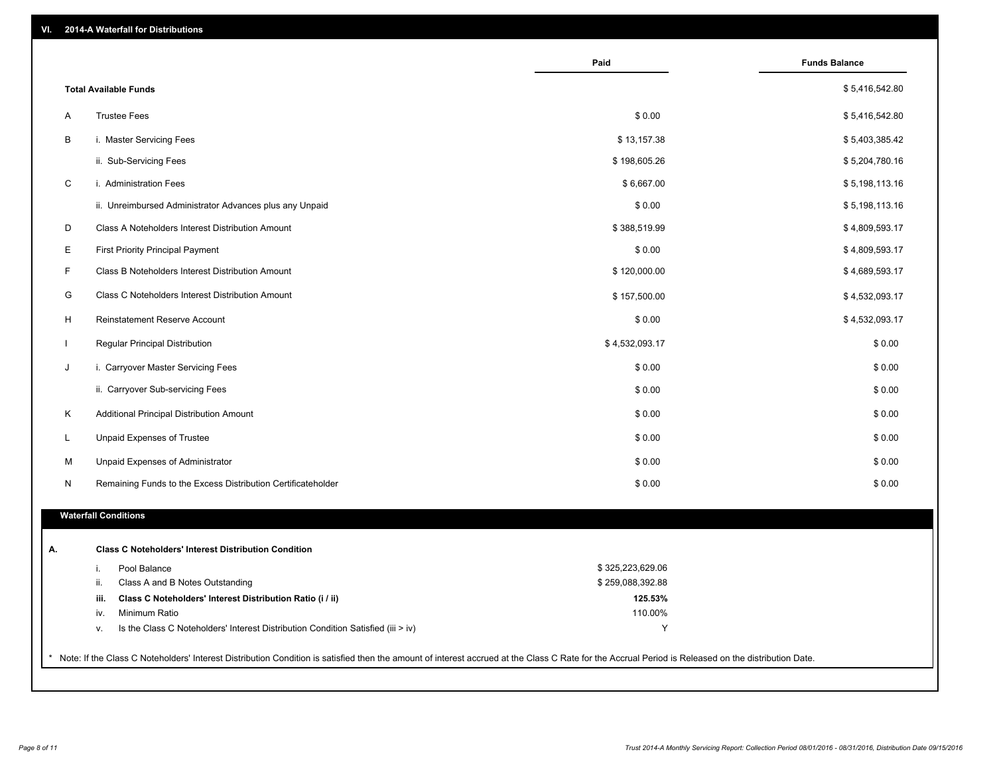| VI. |  | 2014-A Waterfall for Distributions |  |  |  |
|-----|--|------------------------------------|--|--|--|
|-----|--|------------------------------------|--|--|--|

|              |                                                                                        | Paid             | <b>Funds Balance</b> |
|--------------|----------------------------------------------------------------------------------------|------------------|----------------------|
|              | <b>Total Available Funds</b>                                                           |                  | \$5,416,542.80       |
| A            | <b>Trustee Fees</b>                                                                    | \$0.00           | \$5,416,542.80       |
| B            | i. Master Servicing Fees                                                               | \$13,157.38      | \$5,403,385.42       |
|              | ii. Sub-Servicing Fees                                                                 | \$198,605.26     | \$5,204,780.16       |
| C            | i. Administration Fees                                                                 | \$6,667.00       | \$5,198,113.16       |
|              | ii. Unreimbursed Administrator Advances plus any Unpaid                                | \$0.00           | \$5,198,113.16       |
| D            | Class A Noteholders Interest Distribution Amount                                       | \$388,519.99     | \$4,809,593.17       |
| E            | <b>First Priority Principal Payment</b>                                                | \$0.00           | \$4,809,593.17       |
| F            |                                                                                        |                  |                      |
|              | Class B Noteholders Interest Distribution Amount                                       | \$120,000.00     | \$4,689,593.17       |
| G            | Class C Noteholders Interest Distribution Amount                                       | \$157,500.00     | \$4,532,093.17       |
| H            | Reinstatement Reserve Account                                                          | \$0.00           | \$4,532,093.17       |
| $\mathbf{I}$ | Regular Principal Distribution                                                         | \$4,532,093.17   | \$0.00               |
| J            | i. Carryover Master Servicing Fees                                                     | \$0.00           | \$0.00               |
|              | ii. Carryover Sub-servicing Fees                                                       | \$0.00           | \$0.00               |
| K            | Additional Principal Distribution Amount                                               | \$0.00           | \$0.00               |
| L            | Unpaid Expenses of Trustee                                                             | \$0.00           | \$0.00               |
| м            | Unpaid Expenses of Administrator                                                       | \$0.00           | \$0.00               |
| N            | Remaining Funds to the Excess Distribution Certificateholder                           | \$0.00           | \$0.00               |
|              | <b>Waterfall Conditions</b>                                                            |                  |                      |
|              | <b>Class C Noteholders' Interest Distribution Condition</b>                            |                  |                      |
|              | Pool Balance<br>i.                                                                     | \$325,223,629.06 |                      |
|              | ii.<br>Class A and B Notes Outstanding                                                 | \$259,088,392.88 |                      |
|              | Class C Noteholders' Interest Distribution Ratio (i / ii)<br>iii.                      | 125.53%          |                      |
|              | Minimum Ratio<br>iv.                                                                   | 110.00%          |                      |
|              | Is the Class C Noteholders' Interest Distribution Condition Satisfied (iii > iv)<br>ν. | Y                |                      |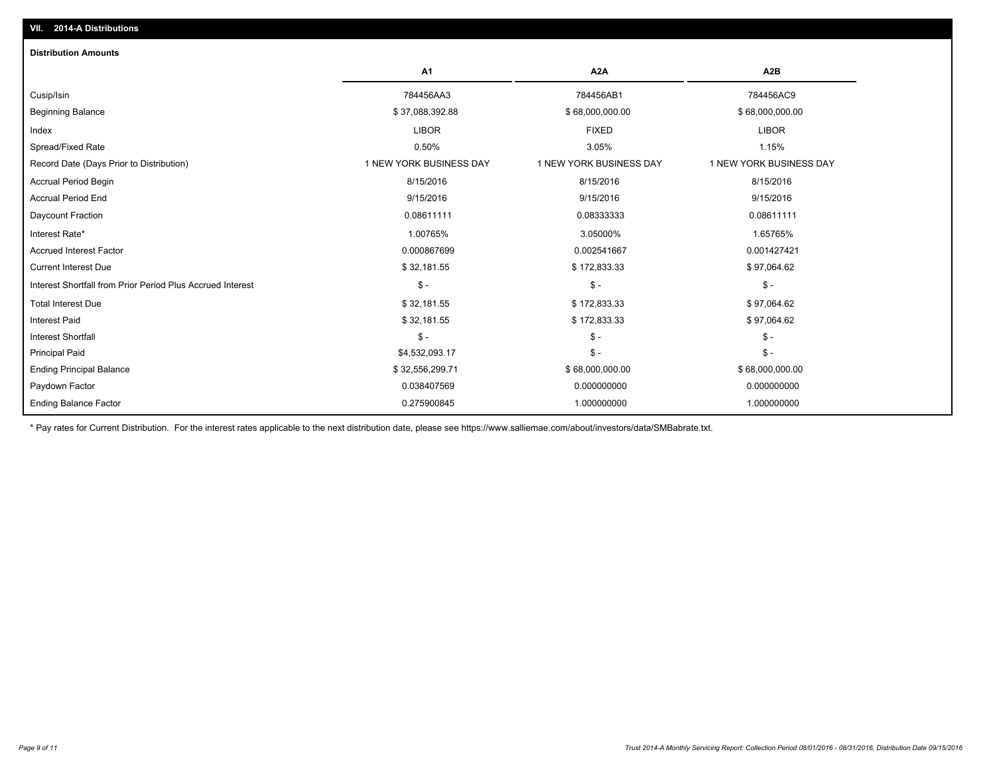| <b>Distribution Amounts</b>                                |                         |                         |                         |
|------------------------------------------------------------|-------------------------|-------------------------|-------------------------|
|                                                            | <b>A1</b>               | A <sub>2</sub> A        | A <sub>2</sub> B        |
| Cusip/Isin                                                 | 784456AA3               | 784456AB1               | 784456AC9               |
| <b>Beginning Balance</b>                                   | \$37,088,392.88         | \$68,000,000.00         | \$68,000,000.00         |
| Index                                                      | <b>LIBOR</b>            | <b>FIXED</b>            | <b>LIBOR</b>            |
| Spread/Fixed Rate                                          | 0.50%                   | 3.05%                   | 1.15%                   |
| Record Date (Days Prior to Distribution)                   | 1 NEW YORK BUSINESS DAY | 1 NEW YORK BUSINESS DAY | 1 NEW YORK BUSINESS DAY |
| Accrual Period Begin                                       | 8/15/2016               | 8/15/2016               | 8/15/2016               |
| <b>Accrual Period End</b>                                  | 9/15/2016               | 9/15/2016               | 9/15/2016               |
| Daycount Fraction                                          | 0.08611111              | 0.08333333              | 0.08611111              |
| Interest Rate*                                             | 1.00765%                | 3.05000%                | 1.65765%                |
| <b>Accrued Interest Factor</b>                             | 0.000867699             | 0.002541667             | 0.001427421             |
| <b>Current Interest Due</b>                                | \$32,181.55             | \$172,833.33            | \$97,064.62             |
| Interest Shortfall from Prior Period Plus Accrued Interest | $\mathcal{S}$ -         | $\frac{2}{3}$ -         | $\mathsf{\$}$ -         |
| <b>Total Interest Due</b>                                  | \$32,181.55             | \$172,833.33            | \$97,064.62             |
| Interest Paid                                              | \$32,181.55             | \$172,833.33            | \$97,064.62             |
| <b>Interest Shortfall</b>                                  | $\mathsf{\$}$ -         | $\frac{2}{3}$ -         | $\mathsf{\$}$ -         |
| <b>Principal Paid</b>                                      | \$4,532,093.17          | $\frac{2}{3}$ -         | $\mathsf{\$}$ -         |
| <b>Ending Principal Balance</b>                            | \$32,556,299.71         | \$68,000,000.00         | \$68,000,000.00         |
| Paydown Factor                                             | 0.038407569             | 0.000000000             | 0.000000000             |
| <b>Ending Balance Factor</b>                               | 0.275900845             | 1.000000000             | 1.000000000             |

\* Pay rates for Current Distribution. For the interest rates applicable to the next distribution date, please see https://www.salliemae.com/about/investors/data/SMBabrate.txt.

**VII. 2014-A Distributions**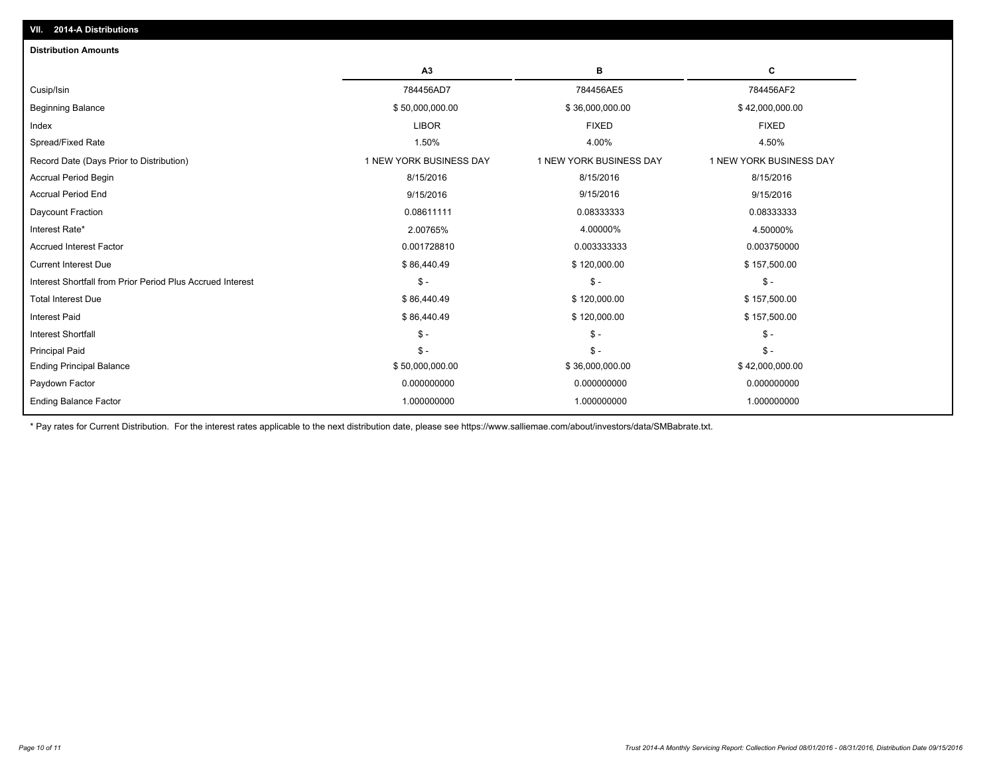|                                                            | A <sub>3</sub>          | в                       | c                       |
|------------------------------------------------------------|-------------------------|-------------------------|-------------------------|
| Cusip/Isin                                                 | 784456AD7               | 784456AE5               | 784456AF2               |
| <b>Beginning Balance</b>                                   | \$50,000,000.00         | \$36,000,000.00         | \$42,000,000.00         |
| Index                                                      | <b>LIBOR</b>            | <b>FIXED</b>            | <b>FIXED</b>            |
| Spread/Fixed Rate                                          | 1.50%                   | 4.00%                   | 4.50%                   |
| Record Date (Days Prior to Distribution)                   | 1 NEW YORK BUSINESS DAY | 1 NEW YORK BUSINESS DAY | 1 NEW YORK BUSINESS DAY |
| <b>Accrual Period Begin</b>                                | 8/15/2016               | 8/15/2016               | 8/15/2016               |
| <b>Accrual Period End</b>                                  | 9/15/2016               | 9/15/2016               | 9/15/2016               |
| Daycount Fraction                                          | 0.08611111              | 0.08333333              | 0.08333333              |
| Interest Rate*                                             | 2.00765%                | 4.00000%                | 4.50000%                |
| <b>Accrued Interest Factor</b>                             | 0.001728810             | 0.003333333             | 0.003750000             |
| <b>Current Interest Due</b>                                | \$86,440.49             | \$120,000.00            | \$157,500.00            |
| Interest Shortfall from Prior Period Plus Accrued Interest | $\mathsf S$ -           | $$ -$                   | $$ -$                   |
| <b>Total Interest Due</b>                                  | \$86,440.49             | \$120,000.00            | \$157,500.00            |
| <b>Interest Paid</b>                                       | \$86,440.49             | \$120,000.00            | \$157,500.00            |
| <b>Interest Shortfall</b>                                  | $S -$                   | $\mathsf{\$}$ -         | $\mathcal{S}$ -         |
| <b>Principal Paid</b>                                      | $S -$                   | $S -$                   | $$ -$                   |
| <b>Ending Principal Balance</b>                            | \$50,000,000.00         | \$36,000,000.00         | \$42,000,000.00         |
| Paydown Factor                                             | 0.000000000             | 0.000000000             | 0.000000000             |
| <b>Ending Balance Factor</b>                               | 1.000000000             | 1.000000000             | 1.000000000             |

\* Pay rates for Current Distribution. For the interest rates applicable to the next distribution date, please see https://www.salliemae.com/about/investors/data/SMBabrate.txt.

**VII. 2014-A Distributions**